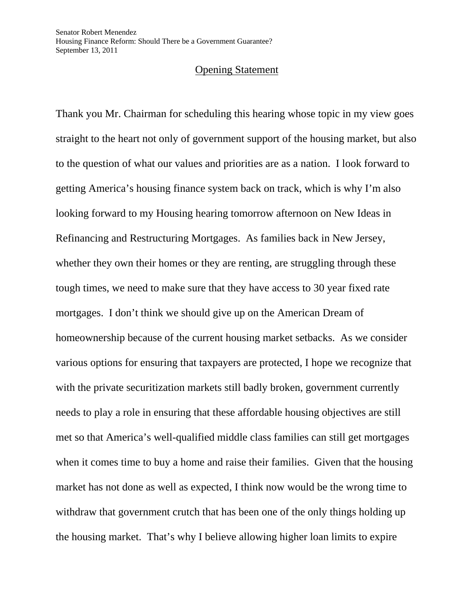## Opening Statement

Thank you Mr. Chairman for scheduling this hearing whose topic in my view goes straight to the heart not only of government support of the housing market, but also to the question of what our values and priorities are as a nation. I look forward to getting America's housing finance system back on track, which is why I'm also looking forward to my Housing hearing tomorrow afternoon on New Ideas in Refinancing and Restructuring Mortgages. As families back in New Jersey, whether they own their homes or they are renting, are struggling through these tough times, we need to make sure that they have access to 30 year fixed rate mortgages. I don't think we should give up on the American Dream of homeownership because of the current housing market setbacks. As we consider various options for ensuring that taxpayers are protected, I hope we recognize that with the private securitization markets still badly broken, government currently needs to play a role in ensuring that these affordable housing objectives are still met so that America's well-qualified middle class families can still get mortgages when it comes time to buy a home and raise their families. Given that the housing market has not done as well as expected, I think now would be the wrong time to withdraw that government crutch that has been one of the only things holding up the housing market. That's why I believe allowing higher loan limits to expire